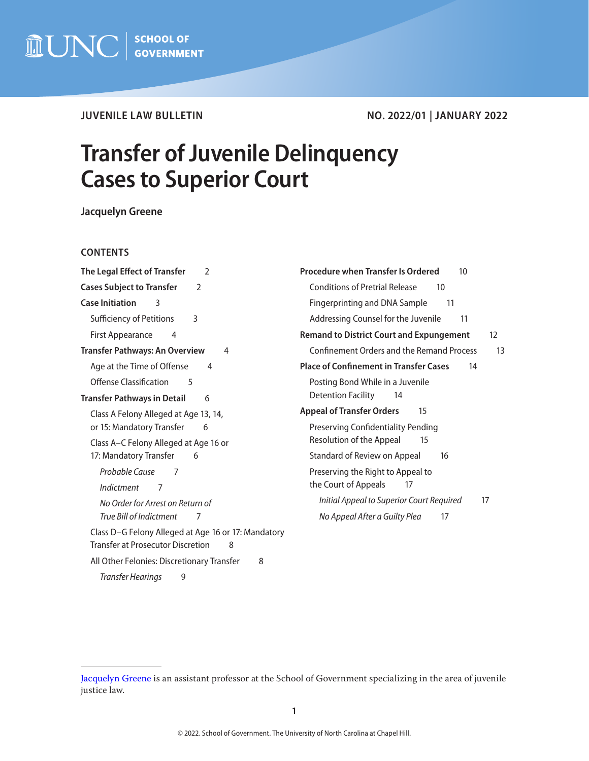

# **JUVENILE LAW BULLETIN NO. 2022/01 | JANUARY 2022**

# **Transfer of Juvenile Delinquency Cases to Superior Court**

**Jacquelyn Greene**

## **CONTENTS**

| The Legal Effect of Transfer                                                                         | <b>Procedure when Transfer Is Ordered</b>        |
|------------------------------------------------------------------------------------------------------|--------------------------------------------------|
| 2                                                                                                    | 10                                               |
| <b>Cases Subject to Transfer</b>                                                                     | <b>Conditions of Pretrial Release</b>            |
| 2                                                                                                    | 10                                               |
| <b>Case Initiation</b>                                                                               | Fingerprinting and DNA Sample                    |
| 3                                                                                                    | 11                                               |
| <b>Sufficiency of Petitions</b>                                                                      | Addressing Counsel for the Juvenile              |
| 3                                                                                                    | 11                                               |
| <b>First Appearance</b>                                                                              | <b>Remand to District Court and Expungement</b>  |
| 4                                                                                                    | 12                                               |
| <b>Transfer Pathways: An Overview</b>                                                                | <b>Confinement Orders and the Remand Process</b> |
| 4                                                                                                    | 13                                               |
| Age at the Time of Offense                                                                           | <b>Place of Confinement in Transfer Cases</b>    |
| 4                                                                                                    | 14                                               |
| Offense Classification<br>5                                                                          | Posting Bond While in a Juvenile                 |
| <b>Transfer Pathways in Detail</b>                                                                   | <b>Detention Facility</b>                        |
| 6                                                                                                    | 14                                               |
| Class A Felony Alleged at Age 13, 14,                                                                | <b>Appeal of Transfer Orders</b><br>15           |
| or 15: Mandatory Transfer<br>6                                                                       | <b>Preserving Confidentiality Pending</b>        |
| Class A-C Felony Alleged at Age 16 or                                                                | Resolution of the Appeal<br>15                   |
| 17: Mandatory Transfer                                                                               | Standard of Review on Appeal                     |
| 6                                                                                                    | 16                                               |
| Probable Cause<br>7                                                                                  | Preserving the Right to Appeal to                |
| <b>Indictment</b>                                                                                    | the Court of Appeals                             |
| 7                                                                                                    | 17                                               |
| No Order for Arrest on Return of                                                                     | Initial Appeal to Superior Court Required<br>17  |
| True Bill of Indictment                                                                              | No Appeal After a Guilty Plea                    |
| 7                                                                                                    | 17                                               |
| Class D-G Felony Alleged at Age 16 or 17: Mandatory<br><b>Transfer at Prosecutor Discretion</b><br>8 |                                                  |
| All Other Felonies: Discretionary Transfer<br>8                                                      |                                                  |
| 9<br>Transfer Hearings                                                                               |                                                  |

[Jacquelyn Greene](https://www.sog.unc.edu/about/faculty-and-staff/jacquelyn-greene) is an assistant professor at the School of Government specializing in the area of juvenile justice law.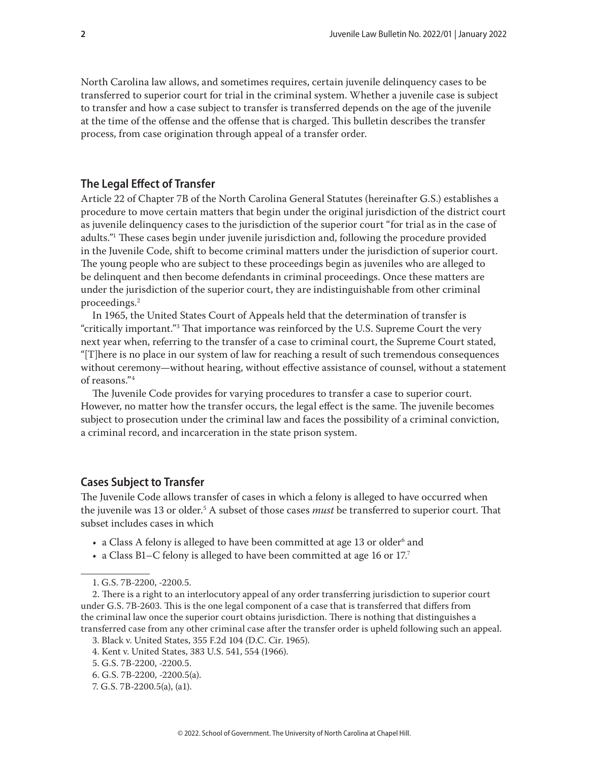<span id="page-1-0"></span>North Carolina law allows, and sometimes requires, certain juvenile delinquency cases to be transferred to superior court for trial in the criminal system. Whether a juvenile case is subject to transfer and how a case subject to transfer is transferred depends on the age of the juvenile at the time of the offense and the offense that is charged. This bulletin describes the transfer process, from case origination through appeal of a transfer order.

# **The Legal Effect of Transfer**

Article 22 of Chapter 7B of the North Carolina General Statutes (hereinafter G.S.) establishes a procedure to move certain matters that begin under the original jurisdiction of the district court as juvenile delinquency cases to the jurisdiction of the superior court "for trial as in the case of adults."1 These cases begin under juvenile jurisdiction and, following the procedure provided in the Juvenile Code, shift to become criminal matters under the jurisdiction of superior court. The young people who are subject to these proceedings begin as juveniles who are alleged to be delinquent and then become defendants in criminal proceedings. Once these matters are under the jurisdiction of the superior court, they are indistinguishable from other criminal proceedings.2

In 1965, the United States Court of Appeals held that the determination of transfer is "critically important."3 That importance was reinforced by the U.S. Supreme Court the very next year when, referring to the transfer of a case to criminal court, the Supreme Court stated, "[T]here is no place in our system of law for reaching a result of such tremendous consequences without ceremony—without hearing, without effective assistance of counsel, without a statement of reasons."4

The Juvenile Code provides for varying procedures to transfer a case to superior court. However, no matter how the transfer occurs, the legal effect is the same. The juvenile becomes subject to prosecution under the criminal law and faces the possibility of a criminal conviction, a criminal record, and incarceration in the state prison system.

## **Cases Subject to Transfer**

The Juvenile Code allows transfer of cases in which a felony is alleged to have occurred when the juvenile was 13 or older.5 A subset of those cases *must* be transferred to superior court. That subset includes cases in which

- a Class A felony is alleged to have been committed at age 13 or older $^{\rm 6}$  and
- a Class B1–C felony is alleged to have been committed at age 16 or  $17<sup>7</sup>$

<sup>1.</sup> G.S. 7B-2200, -2200.5.

<sup>2.</sup> There is a right to an interlocutory appeal of any order transferring jurisdiction to superior court under G.S. 7B-2603. This is the one legal component of a case that is transferred that differs from the criminal law once the superior court obtains jurisdiction. There is nothing that distinguishes a transferred case from any other criminal case after the transfer order is upheld following such an appeal.

<sup>3.</sup> Black v. United States, 355 F.2d 104 (D.C. Cir. 1965).

<sup>4.</sup> Kent v. United States, 383 U.S. 541, 554 (1966). 5. G.S. 7B-2200, -2200.5.

<sup>6.</sup> G.S. 7B-2200, -2200.5(a). 7. G.S. 7B-2200.5(a), (a1).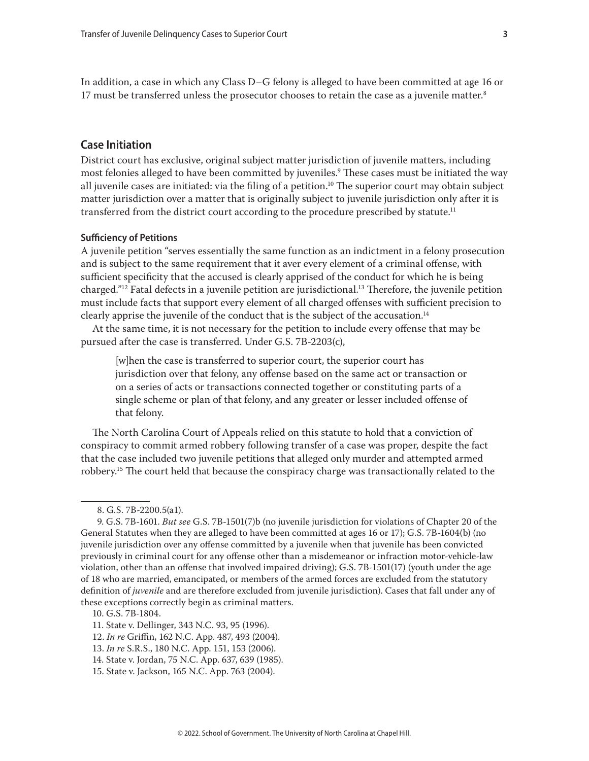<span id="page-2-0"></span>In addition, a case in which any Class D–G felony is alleged to have been committed at age 16 or 17 must be transferred unless the prosecutor chooses to retain the case as a juvenile matter.<sup>8</sup>

## **Case Initiation**

District court has exclusive, original subject matter jurisdiction of juvenile matters, including most felonies alleged to have been committed by juveniles.9 These cases must be initiated the way all juvenile cases are initiated: via the filing of a petition.10 The superior court may obtain subject matter jurisdiction over a matter that is originally subject to juvenile jurisdiction only after it is transferred from the district court according to the procedure prescribed by statute.<sup>11</sup>

#### **Sufficiency of Petitions**

A juvenile petition "serves essentially the same function as an indictment in a felony prosecution and is subject to the same requirement that it aver every element of a criminal offense, with sufficient specificity that the accused is clearly apprised of the conduct for which he is being charged."12 Fatal defects in a juvenile petition are jurisdictional.13 Therefore, the juvenile petition must include facts that support every element of all charged offenses with sufficient precision to clearly apprise the juvenile of the conduct that is the subject of the accusation.14

At the same time, it is not necessary for the petition to include every offense that may be pursued after the case is transferred. Under G.S. 7B-2203(c),

[w]hen the case is transferred to superior court, the superior court has jurisdiction over that felony, any offense based on the same act or transaction or on a series of acts or transactions connected together or constituting parts of a single scheme or plan of that felony, and any greater or lesser included offense of that felony.

The North Carolina Court of Appeals relied on this statute to hold that a conviction of conspiracy to commit armed robbery following transfer of a case was proper, despite the fact that the case included two juvenile petitions that alleged only murder and attempted armed robbery.15 The court held that because the conspiracy charge was transactionally related to the

- 12. *In re* Griffin, 162 N.C. App. 487, 493 (2004).
- 13. *In re* S.R.S., 180 N.C. App. 151, 153 (2006).
- 14. State v. Jordan, 75 N.C. App. 637, 639 (1985).
- 15. State v. Jackson, 165 N.C. App. 763 (2004).

<sup>8.</sup> G.S. 7B-2200.5(a1).

<sup>9.</sup> G.S. 7B-1601. *But see* G.S. 7B-1501(7)b (no juvenile jurisdiction for violations of Chapter 20 of the General Statutes when they are alleged to have been committed at ages 16 or 17); G.S. 7B-1604(b) (no juvenile jurisdiction over any offense committed by a juvenile when that juvenile has been convicted previously in criminal court for any offense other than a misdemeanor or infraction motor-vehicle-law violation, other than an offense that involved impaired driving); G.S. 7B-1501(17) (youth under the age of 18 who are married, emancipated, or members of the armed forces are excluded from the statutory definition of *juvenile* and are therefore excluded from juvenile jurisdiction). Cases that fall under any of these exceptions correctly begin as criminal matters.

<sup>10.</sup> G.S. 7B-1804.

<sup>11.</sup> State v. Dellinger, 343 N.C. 93, 95 (1996).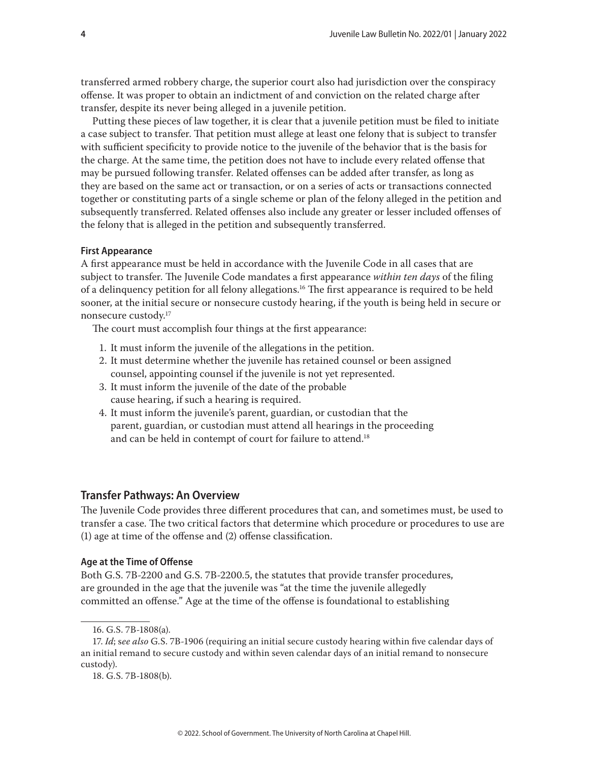<span id="page-3-0"></span>transferred armed robbery charge, the superior court also had jurisdiction over the conspiracy offense. It was proper to obtain an indictment of and conviction on the related charge after transfer, despite its never being alleged in a juvenile petition.

Putting these pieces of law together, it is clear that a juvenile petition must be filed to initiate a case subject to transfer. That petition must allege at least one felony that is subject to transfer with sufficient specificity to provide notice to the juvenile of the behavior that is the basis for the charge. At the same time, the petition does not have to include every related offense that may be pursued following transfer. Related offenses can be added after transfer, as long as they are based on the same act or transaction, or on a series of acts or transactions connected together or constituting parts of a single scheme or plan of the felony alleged in the petition and subsequently transferred. Related offenses also include any greater or lesser included offenses of the felony that is alleged in the petition and subsequently transferred.

#### **First Appearance**

A first appearance must be held in accordance with the Juvenile Code in all cases that are subject to transfer. The Juvenile Code mandates a first appearance *within ten days* of the filing of a delinquency petition for all felony allegations.16 The first appearance is required to be held sooner, at the initial secure or nonsecure custody hearing, if the youth is being held in secure or nonsecure custody.17

The court must accomplish four things at the first appearance:

- 1. It must inform the juvenile of the allegations in the petition.
- 2. It must determine whether the juvenile has retained counsel or been assigned counsel, appointing counsel if the juvenile is not yet represented.
- 3. It must inform the juvenile of the date of the probable cause hearing, if such a hearing is required.
- 4. It must inform the juvenile's parent, guardian, or custodian that the parent, guardian, or custodian must attend all hearings in the proceeding and can be held in contempt of court for failure to attend.<sup>18</sup>

## **Transfer Pathways: An Overview**

The Juvenile Code provides three different procedures that can, and sometimes must, be used to transfer a case. The two critical factors that determine which procedure or procedures to use are (1) age at time of the offense and (2) offense classification.

#### **Age at the Time of Offense**

Both G.S. 7B-2200 and G.S. 7B-2200.5, the statutes that provide transfer procedures, are grounded in the age that the juvenile was "at the time the juvenile allegedly committed an offense." Age at the time of the offense is foundational to establishing

<sup>16.</sup> G.S. 7B-1808(a).

<sup>17.</sup> *Id*; s*ee also* G.S. 7B-1906 (requiring an initial secure custody hearing within five calendar days of an initial remand to secure custody and within seven calendar days of an initial remand to nonsecure custody).

<sup>18.</sup> G.S. 7B-1808(b).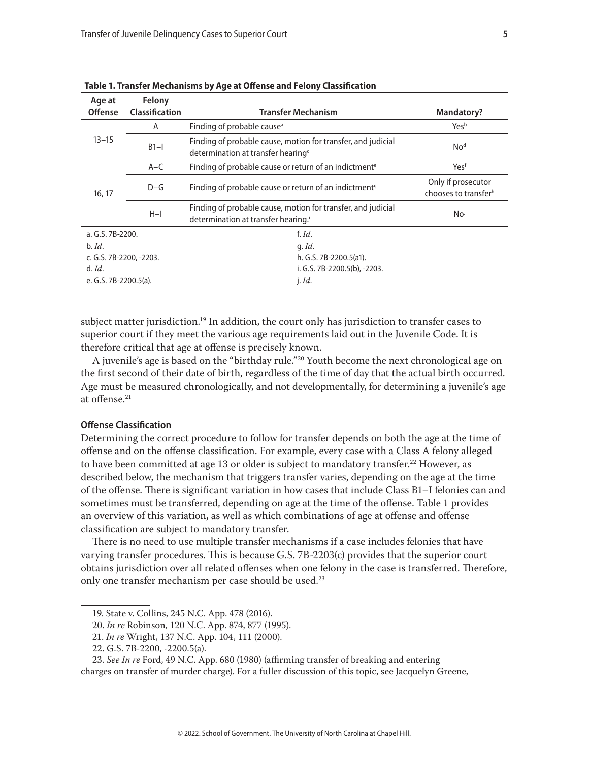| Age at<br><b>Offense</b> | Felony<br>Classification | <b>Transfer Mechanism</b>                                                                                      | Mandatory?                                             |
|--------------------------|--------------------------|----------------------------------------------------------------------------------------------------------------|--------------------------------------------------------|
| $13 - 15$                | A                        | Finding of probable cause <sup>a</sup>                                                                         | Yesb                                                   |
|                          | $B1-I$                   | Finding of probable cause, motion for transfer, and judicial<br>determination at transfer hearing <sup>c</sup> | No <sup>d</sup>                                        |
| 16, 17                   | $A-C$                    | Finding of probable cause or return of an indictment <sup>e</sup>                                              | Yesf                                                   |
|                          | $D-G$                    | Finding of probable cause or return of an indictment <sup>9</sup>                                              | Only if prosecutor<br>chooses to transfer <sup>h</sup> |
|                          | $H-I$                    | Finding of probable cause, motion for transfer, and judicial<br>determination at transfer hearing.             | No <sup>j</sup>                                        |
| a. G.S. 7B-2200.         |                          | f. $Id.$                                                                                                       |                                                        |
| $b.$ <i>Id.</i>          |                          | $q.$ <i>Id.</i>                                                                                                |                                                        |
| c. G.S. 7B-2200, -2203.  |                          | h. G.S. 7B-2200.5(a1).                                                                                         |                                                        |
| $d.$ <i>Id.</i>          |                          | i. G.S. 7B-2200.5(b), -2203.                                                                                   |                                                        |
| e. G.S. 7B-2200.5(a).    |                          | $i$ . Id.                                                                                                      |                                                        |

<span id="page-4-0"></span>**Table 1. Transfer Mechanisms by Age at Offense and Felony Classification**

subject matter jurisdiction.<sup>19</sup> In addition, the court only has jurisdiction to transfer cases to superior court if they meet the various age requirements laid out in the Juvenile Code. It is therefore critical that age at offense is precisely known.

A juvenile's age is based on the "birthday rule."20 Youth become the next chronological age on the first second of their date of birth, regardless of the time of day that the actual birth occurred. Age must be measured chronologically, and not developmentally, for determining a juvenile's age at offense.21

## **Offense Classification**

Determining the correct procedure to follow for transfer depends on both the age at the time of offense and on the offense classification. For example, every case with a Class A felony alleged to have been committed at age 13 or older is subject to mandatory transfer.<sup>22</sup> However, as described below, the mechanism that triggers transfer varies, depending on the age at the time of the offense. There is significant variation in how cases that include Class B1–I felonies can and sometimes must be transferred, depending on age at the time of the offense. Table 1 provides an overview of this variation, as well as which combinations of age at offense and offense classification are subject to mandatory transfer.

There is no need to use multiple transfer mechanisms if a case includes felonies that have varying transfer procedures. This is because G.S. 7B-2203(c) provides that the superior court obtains jurisdiction over all related offenses when one felony in the case is transferred. Therefore, only one transfer mechanism per case should be used.<sup>23</sup>

<sup>19.</sup> State v. Collins, 245 N.C. App. 478 (2016).

<sup>20.</sup> *In re* Robinson, 120 N.C. App. 874, 877 (1995).

<sup>21.</sup> *In re* Wright, 137 N.C. App. 104, 111 (2000).

<sup>22.</sup> G.S. 7B-2200, -2200.5(a).

<sup>23.</sup> *See In re* Ford, 49 N.C. App. 680 (1980) (affirming transfer of breaking and entering

charges on transfer of murder charge). For a fuller discussion of this topic, see Jacquelyn Greene,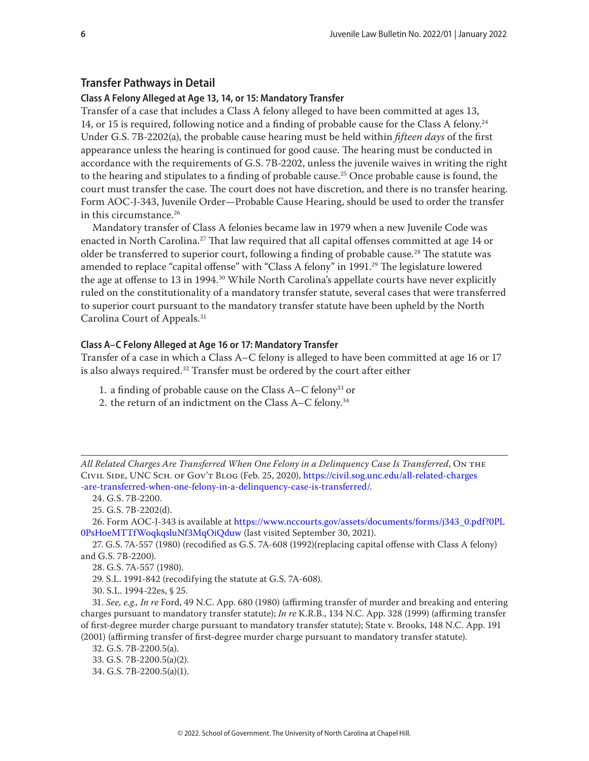# <span id="page-5-0"></span>**Transfer Pathways in Detail**

## **Class A Felony Alleged at Age 13, 14, or 15: Mandatory Transfer**

Transfer of a case that includes a Class A felony alleged to have been committed at ages 13, 14, or 15 is required, following notice and a finding of probable cause for the Class A felony.24 Under G.S. 7B-2202(a), the probable cause hearing must be held within *fifteen days* of the first appearance unless the hearing is continued for good cause. The hearing must be conducted in accordance with the requirements of G.S. 7B-2202, unless the juvenile waives in writing the right to the hearing and stipulates to a finding of probable cause.25 Once probable cause is found, the court must transfer the case. The court does not have discretion, and there is no transfer hearing. Form AOC-J-343, Juvenile Order—Probable Cause Hearing, should be used to order the transfer in this circumstance.<sup>26</sup>

Mandatory transfer of Class A felonies became law in 1979 when a new Juvenile Code was enacted in North Carolina.<sup>27</sup> That law required that all capital offenses committed at age 14 or older be transferred to superior court, following a finding of probable cause.<sup>28</sup> The statute was amended to replace "capital offense" with "Class A felony" in 1991.<sup>29</sup> The legislature lowered the age at offense to 13 in 1994.<sup>30</sup> While North Carolina's appellate courts have never explicitly ruled on the constitutionality of a mandatory transfer statute, several cases that were transferred to superior court pursuant to the mandatory transfer statute have been upheld by the North Carolina Court of Appeals.31

#### **Class A–C Felony Alleged at Age 16 or 17: Mandatory Transfer**

Transfer of a case in which a Class A–C felony is alleged to have been committed at age 16 or 17 is also always required.<sup>32</sup> Transfer must be ordered by the court after either

- 1. a finding of probable cause on the Class A–C felony33 or
- 2. the return of an indictment on the Class A–C felony.34

*All Related Charges Are Transferred When One Felony in a Delinquency Case Is Transferred*, On the Civil Side, UNC Sch. of Gov't Blog (Feb. 25, 2020), [https://civil.sog.unc.edu/all-related-charges](https://civil.sog.unc.edu/all-related-charges-are-transferred-when-one-felony-in-a-delinquency-case-is-transferred/) [-are-transferred-when-one-felony-in-a-delinquency-case-is-transferred/](https://civil.sog.unc.edu/all-related-charges-are-transferred-when-one-felony-in-a-delinquency-case-is-transferred/).

24. G.S. 7B-2200.

25. G.S. 7B-2202(d).

26. Form AOC-J-343 is available at [https://www.nccourts.gov/assets/documents/forms/j343\\_0.pdf?0PL](https://www.nccourts.gov/assets/documents/forms/j343_0.pdf?0PL0PsHoeMTTfWoqkqsluNf3MqOiQduw) [0PsHoeMTTfWoqkqsluNf3MqOiQduw](https://www.nccourts.gov/assets/documents/forms/j343_0.pdf?0PL0PsHoeMTTfWoqkqsluNf3MqOiQduw) (last visited September 30, 2021).

27. G.S. 7A-557 (1980) (recodified as G.S. 7A-608 (1992)(replacing capital offense with Class A felony) and G.S. 7B-2200).

28. G.S. 7A-557 (1980).

29. S.L. 1991-842 (recodifying the statute at G.S. 7A-608).

30. S.L. 1994-22es, § 25.

31. *See, e.g., In re* Ford, 49 N.C. App. 680 (1980) (affirming transfer of murder and breaking and entering charges pursuant to mandatory transfer statute); *In re* K.R.B., 134 N.C. App. 328 (1999) (affirming transfer of first-degree murder charge pursuant to mandatory transfer statute); State v. Brooks, 148 N.C. App. 191 (2001) (affirming transfer of first-degree murder charge pursuant to mandatory transfer statute).

32. G.S. 7B-2200.5(a).

33. G.S. 7B-2200.5(a)(2).

34. G.S. 7B-2200.5(a)(1).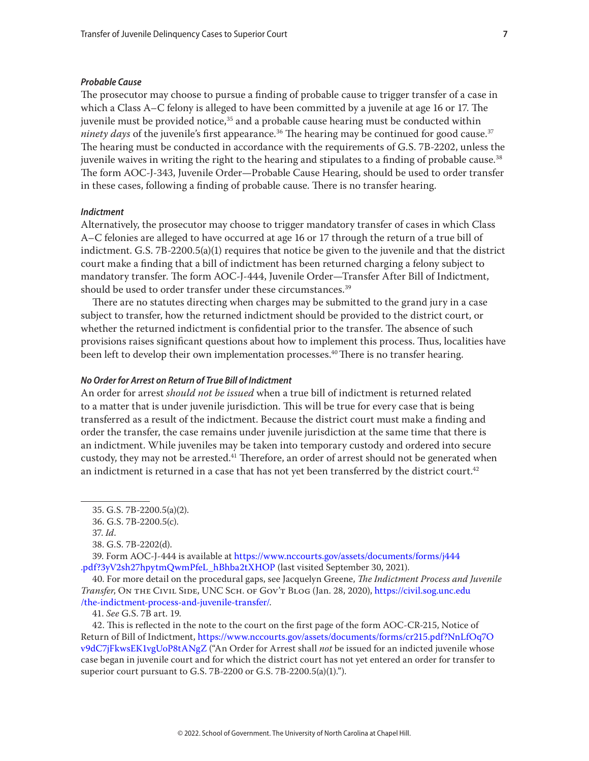#### <span id="page-6-0"></span>*Probable Cause*

The prosecutor may choose to pursue a finding of probable cause to trigger transfer of a case in which a Class A–C felony is alleged to have been committed by a juvenile at age 16 or 17. The juvenile must be provided notice,<sup>35</sup> and a probable cause hearing must be conducted within *ninety days* of the juvenile's first appearance.<sup>36</sup> The hearing may be continued for good cause.<sup>37</sup> The hearing must be conducted in accordance with the requirements of G.S. 7B-2202, unless the juvenile waives in writing the right to the hearing and stipulates to a finding of probable cause.<sup>38</sup> The form AOC-J-343, Juvenile Order—Probable Cause Hearing, should be used to order transfer in these cases, following a finding of probable cause. There is no transfer hearing.

## *Indictment*

Alternatively, the prosecutor may choose to trigger mandatory transfer of cases in which Class A–C felonies are alleged to have occurred at age 16 or 17 through the return of a true bill of indictment. G.S. 7B-2200.5(a)(1) requires that notice be given to the juvenile and that the district court make a finding that a bill of indictment has been returned charging a felony subject to mandatory transfer. The form AOC-J-444, Juvenile Order—Transfer After Bill of Indictment, should be used to order transfer under these circumstances.<sup>39</sup>

There are no statutes directing when charges may be submitted to the grand jury in a case subject to transfer, how the returned indictment should be provided to the district court, or whether the returned indictment is confidential prior to the transfer. The absence of such provisions raises significant questions about how to implement this process. Thus, localities have been left to develop their own implementation processes.<sup>40</sup> There is no transfer hearing.

#### *No Order for Arrest on Return of True Bill of Indictment*

An order for arrest *should not be issued* when a true bill of indictment is returned related to a matter that is under juvenile jurisdiction. This will be true for every case that is being transferred as a result of the indictment. Because the district court must make a finding and order the transfer, the case remains under juvenile jurisdiction at the same time that there is an indictment. While juveniles may be taken into temporary custody and ordered into secure custody, they may not be arrested.<sup>41</sup> Therefore, an order of arrest should not be generated when an indictment is returned in a case that has not yet been transferred by the district court.<sup>42</sup>

39. Form AOC-J-444 is available at [https://www.nccourts.gov/assets/documents/forms/j444](https://www.nccourts.gov/assets/documents/forms/j444.pdf?3yV2sh27hpytmQwmPfeL_hBhba2tXHOP) [.pdf?3yV2sh27hpytmQwmPfeL\\_hBhba2tXHOP](https://www.nccourts.gov/assets/documents/forms/j444.pdf?3yV2sh27hpytmQwmPfeL_hBhba2tXHOP) (last visited September 30, 2021).

40. For more detail on the procedural gaps, see Jacquelyn Greene, *The Indictment Process and Juvenile Transfer*, On the Civil Side, UNC Sch. of Gov't Blog (Jan. 28, 2020), [https://civil.sog.unc.edu](https://civil.sog.unc.edu/the-indictment-process-and-juvenile-transfer/) [/the-indictment-process-and-juvenile-transfer/](https://civil.sog.unc.edu/the-indictment-process-and-juvenile-transfer/).

42. This is reflected in the note to the court on the first page of the form AOC-CR-215, Notice of Return of Bill of Indictment, [https://www.nccourts.gov/assets/documents/forms/cr215.pdf?NnLfOq7O](https://www.nccourts.gov/assets/documents/forms/cr215.pdf?NnLfOq7Ov9dC7jFkwsEK1vgUoP8tANgZ) [v9dC7jFkwsEK1vgUoP8tANgZ](https://www.nccourts.gov/assets/documents/forms/cr215.pdf?NnLfOq7Ov9dC7jFkwsEK1vgUoP8tANgZ) ("An Order for Arrest shall *not* be issued for an indicted juvenile whose case began in juvenile court and for which the district court has not yet entered an order for transfer to superior court pursuant to G.S. 7B-2200 or G.S. 7B-2200.5(a)(1).").

<sup>35.</sup> G.S. 7B-2200.5(a)(2).

<sup>36.</sup> G.S. 7B-2200.5(c).

<sup>37.</sup> *Id*.

<sup>38.</sup> G.S. 7B-2202(d).

<sup>41.</sup> *See* G.S. 7B art. 19.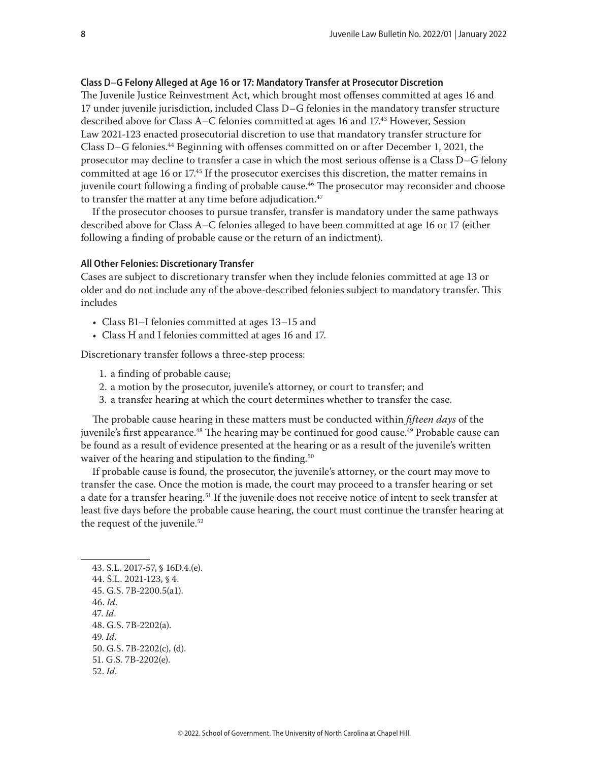#### <span id="page-7-0"></span>**Class D–G Felony Alleged at Age 16 or 17: Mandatory Transfer at Prosecutor Discretion**

The Juvenile Justice Reinvestment Act, which brought most offenses committed at ages 16 and 17 under juvenile jurisdiction, included Class D–G felonies in the mandatory transfer structure described above for Class A–C felonies committed at ages 16 and 17.43 However, Session Law 2021-123 enacted prosecutorial discretion to use that mandatory transfer structure for Class D–G felonies.44 Beginning with offenses committed on or after December 1, 2021, the prosecutor may decline to transfer a case in which the most serious offense is a Class D–G felony committed at age 16 or 17.45 If the prosecutor exercises this discretion, the matter remains in juvenile court following a finding of probable cause.<sup>46</sup> The prosecutor may reconsider and choose to transfer the matter at any time before adjudication.<sup>47</sup>

If the prosecutor chooses to pursue transfer, transfer is mandatory under the same pathways described above for Class A–C felonies alleged to have been committed at age 16 or 17 (either following a finding of probable cause or the return of an indictment).

#### **All Other Felonies: Discretionary Transfer**

Cases are subject to discretionary transfer when they include felonies committed at age 13 or older and do not include any of the above-described felonies subject to mandatory transfer. This includes

- Class B1–I felonies committed at ages 13–15 and
- Class H and I felonies committed at ages 16 and 17.

Discretionary transfer follows a three-step process:

- 1. a finding of probable cause;
- 2. a motion by the prosecutor, juvenile's attorney, or court to transfer; and
- 3. a transfer hearing at which the court determines whether to transfer the case.

The probable cause hearing in these matters must be conducted within *fifteen days* of the juvenile's first appearance.<sup>48</sup> The hearing may be continued for good cause.<sup>49</sup> Probable cause can be found as a result of evidence presented at the hearing or as a result of the juvenile's written waiver of the hearing and stipulation to the finding.<sup>50</sup>

If probable cause is found, the prosecutor, the juvenile's attorney, or the court may move to transfer the case. Once the motion is made, the court may proceed to a transfer hearing or set a date for a transfer hearing.<sup>51</sup> If the juvenile does not receive notice of intent to seek transfer at least five days before the probable cause hearing, the court must continue the transfer hearing at the request of the juvenile.<sup>52</sup>

43. S.L. 2017-57, § 16D.4.(e). 44. S.L. 2021-123, § 4. 45. G.S. 7B-2200.5(a1). 46. *Id*. 47. *Id*. 48. G.S. 7B-2202(a). 49. *Id*. 50. G.S. 7B-2202(c), (d). 51. G.S. 7B-2202(e). 52. *Id*.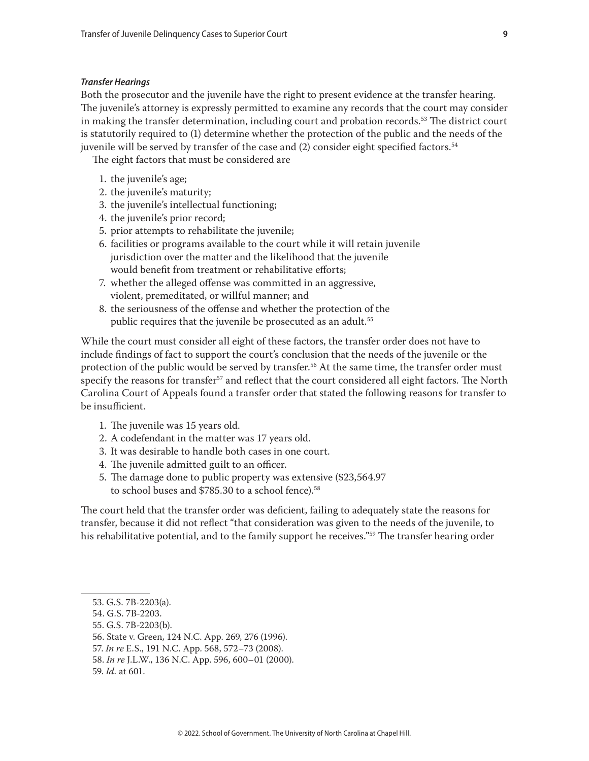#### <span id="page-8-0"></span>*Transfer Hearings*

Both the prosecutor and the juvenile have the right to present evidence at the transfer hearing. The juvenile's attorney is expressly permitted to examine any records that the court may consider in making the transfer determination, including court and probation records.<sup>53</sup> The district court is statutorily required to (1) determine whether the protection of the public and the needs of the juvenile will be served by transfer of the case and (2) consider eight specified factors.<sup>54</sup>

The eight factors that must be considered are

- 1. the juvenile's age;
- 2. the juvenile's maturity;
- 3. the juvenile's intellectual functioning;
- 4. the juvenile's prior record;
- 5. prior attempts to rehabilitate the juvenile;
- 6. facilities or programs available to the court while it will retain juvenile jurisdiction over the matter and the likelihood that the juvenile would benefit from treatment or rehabilitative efforts;
- 7. whether the alleged offense was committed in an aggressive, violent, premeditated, or willful manner; and
- 8. the seriousness of the offense and whether the protection of the public requires that the juvenile be prosecuted as an adult.<sup>55</sup>

While the court must consider all eight of these factors, the transfer order does not have to include findings of fact to support the court's conclusion that the needs of the juvenile or the protection of the public would be served by transfer.56 At the same time, the transfer order must specify the reasons for transfer<sup>57</sup> and reflect that the court considered all eight factors. The North Carolina Court of Appeals found a transfer order that stated the following reasons for transfer to be insufficient.

- 1. The juvenile was 15 years old.
- 2. A codefendant in the matter was 17 years old.
- 3. It was desirable to handle both cases in one court.
- 4. The juvenile admitted guilt to an officer.
- 5. The damage done to public property was extensive (\$23,564.97 to school buses and \$785.30 to a school fence).<sup>58</sup>

The court held that the transfer order was deficient, failing to adequately state the reasons for transfer, because it did not reflect "that consideration was given to the needs of the juvenile, to his rehabilitative potential, and to the family support he receives."<sup>59</sup> The transfer hearing order

<sup>53.</sup> G.S. 7B-2203(a).

<sup>54.</sup> G.S. 7B-2203.

<sup>55.</sup> G.S. 7B-2203(b).

<sup>56.</sup> State v. Green, 124 N.C. App. 269, 276 (1996).

<sup>57.</sup> *In re* E.S., 191 N.C. App. 568, 572–73 (2008).

<sup>58.</sup> *In re* J.L.W., 136 N.C. App. 596, 600–01 (2000).

<sup>59.</sup> *Id.* at 601.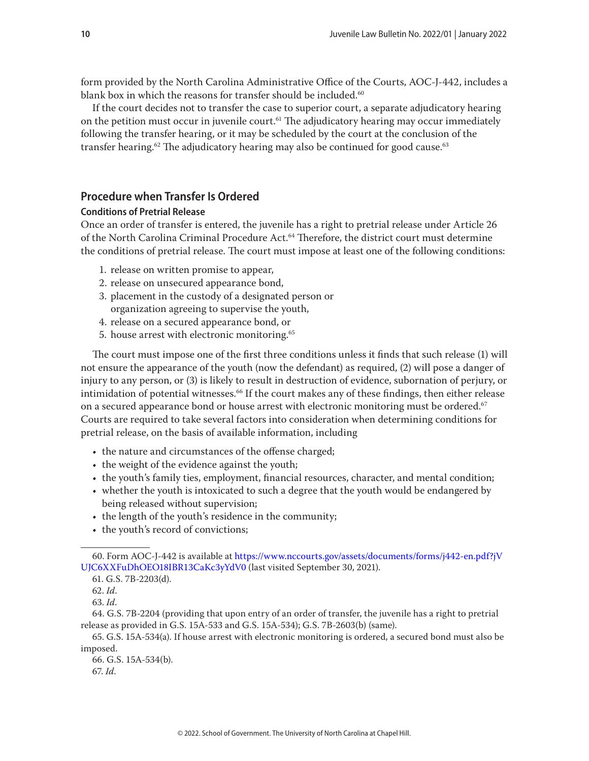<span id="page-9-0"></span>form provided by the North Carolina Administrative Office of the Courts, AOC-J-442, includes a blank box in which the reasons for transfer should be included.<sup>60</sup>

If the court decides not to transfer the case to superior court, a separate adjudicatory hearing on the petition must occur in juvenile court.<sup>61</sup> The adjudicatory hearing may occur immediately following the transfer hearing, or it may be scheduled by the court at the conclusion of the transfer hearing.<sup>62</sup> The adjudicatory hearing may also be continued for good cause.<sup>63</sup>

# **Procedure when Transfer Is Ordered**

## **Conditions of Pretrial Release**

Once an order of transfer is entered, the juvenile has a right to pretrial release under Article 26 of the North Carolina Criminal Procedure Act.<sup>64</sup> Therefore, the district court must determine the conditions of pretrial release. The court must impose at least one of the following conditions:

- 1. release on written promise to appear,
- 2. release on unsecured appearance bond,
- 3. placement in the custody of a designated person or organization agreeing to supervise the youth,
- 4. release on a secured appearance bond, or
- 5. house arrest with electronic monitoring.65

The court must impose one of the first three conditions unless it finds that such release (1) will not ensure the appearance of the youth (now the defendant) as required, (2) will pose a danger of injury to any person, or (3) is likely to result in destruction of evidence, subornation of perjury, or intimidation of potential witnesses.<sup>66</sup> If the court makes any of these findings, then either release on a secured appearance bond or house arrest with electronic monitoring must be ordered.<sup>67</sup> Courts are required to take several factors into consideration when determining conditions for pretrial release, on the basis of available information, including

- the nature and circumstances of the offense charged;
- the weight of the evidence against the youth;
- the youth's family ties, employment, financial resources, character, and mental condition;
- whether the youth is intoxicated to such a degree that the youth would be endangered by being released without supervision;
- the length of the youth's residence in the community;
- the youth's record of convictions;

67. *Id*.

<sup>60.</sup> Form AOC-J-442 is available at [https://www.nccourts.gov/assets/documents/forms/j442-en.pdf?jV](https://www.nccourts.gov/assets/documents/forms/j442-en.pdf?jVUJC6XXFuDhOEO18IBR13CaKc3yYdV0) [UJC6XXFuDhOEO18IBR13CaKc3yYdV0](https://www.nccourts.gov/assets/documents/forms/j442-en.pdf?jVUJC6XXFuDhOEO18IBR13CaKc3yYdV0) (last visited September 30, 2021).

<sup>61.</sup> G.S. 7B-2203(d).

<sup>62.</sup> *Id*.

<sup>63.</sup> *Id*.

<sup>64.</sup> G.S. 7B-2204 (providing that upon entry of an order of transfer, the juvenile has a right to pretrial release as provided in G.S. 15A-533 and G.S. 15A-534); G.S. 7B-2603(b) (same).

<sup>65.</sup> G.S. 15A-534(a). If house arrest with electronic monitoring is ordered, a secured bond must also be imposed.

<sup>66.</sup> G.S. 15A-534(b).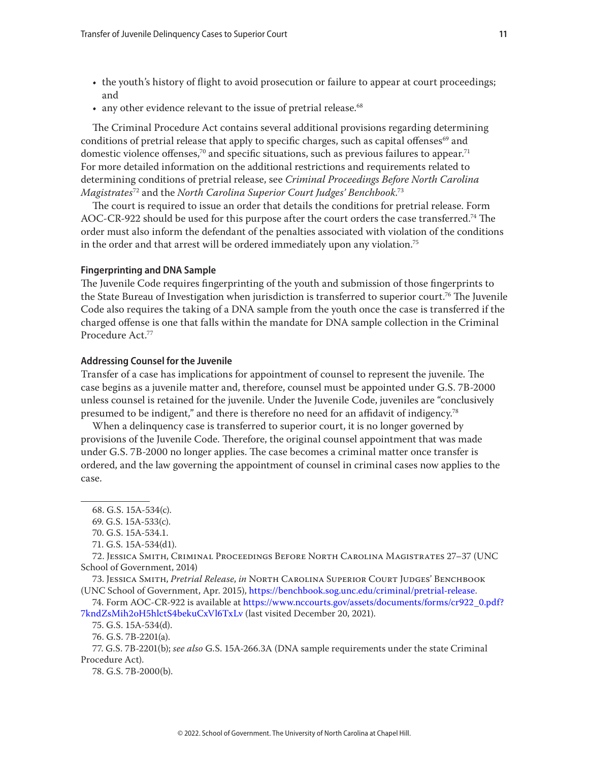- <span id="page-10-0"></span>• the youth's history of flight to avoid prosecution or failure to appear at court proceedings; and
- any other evidence relevant to the issue of pretrial release.<sup>68</sup>

The Criminal Procedure Act contains several additional provisions regarding determining conditions of pretrial release that apply to specific charges, such as capital offenses<sup>69</sup> and domestic violence offenses,<sup>70</sup> and specific situations, such as previous failures to appear.<sup>71</sup> For more detailed information on the additional restrictions and requirements related to determining conditions of pretrial release, see *Criminal Proceedings Before North Carolina Magistrates*72 and the *North Carolina Superior Court Judges' Benchbook*. 73

The court is required to issue an order that details the conditions for pretrial release. Form AOC-CR-922 should be used for this purpose after the court orders the case transferred.74 The order must also inform the defendant of the penalties associated with violation of the conditions in the order and that arrest will be ordered immediately upon any violation.75

#### **Fingerprinting and DNA Sample**

The Juvenile Code requires fingerprinting of the youth and submission of those fingerprints to the State Bureau of Investigation when jurisdiction is transferred to superior court.76 The Juvenile Code also requires the taking of a DNA sample from the youth once the case is transferred if the charged offense is one that falls within the mandate for DNA sample collection in the Criminal Procedure Act.77

#### **Addressing Counsel for the Juvenile**

Transfer of a case has implications for appointment of counsel to represent the juvenile. The case begins as a juvenile matter and, therefore, counsel must be appointed under G.S. 7B-2000 unless counsel is retained for the juvenile. Under the Juvenile Code, juveniles are "conclusively presumed to be indigent," and there is therefore no need for an affidavit of indigency.78

When a delinquency case is transferred to superior court, it is no longer governed by provisions of the Juvenile Code. Therefore, the original counsel appointment that was made under G.S. 7B-2000 no longer applies. The case becomes a criminal matter once transfer is ordered, and the law governing the appointment of counsel in criminal cases now applies to the case.

72. Jessica Smith, Criminal Proceedings Before North Carolina Magistrates 27–37 (UNC School of Government, 2014)

73. Jessica Smith, *Pretrial Release*, *in* North Carolina Superior Court Judges' Benchbook (UNC School of Government, Apr. 2015), [https://benchbook.sog.unc.edu/criminal/pretrial-release.](https://benchbook.sog.unc.edu/criminal/pretrial-release)

74. Form AOC-CR-922 is available at [https://www.nccourts.gov/assets/documents/forms/cr922\\_0.pdf?](https://www.nccourts.gov/assets/documents/forms/cr922_0.pdf?7kndZsMih2oH5hlctS4bekuCxVl6TxLv) [7kndZsMih2oH5hlctS4bekuCxVl6TxLv](https://www.nccourts.gov/assets/documents/forms/cr922_0.pdf?7kndZsMih2oH5hlctS4bekuCxVl6TxLv) (last visited December 20, 2021).

75. G.S. 15A-534(d).

76. G.S. 7B-2201(a).

77. G.S. 7B-2201(b); *see also* G.S. 15A-266.3A (DNA sample requirements under the state Criminal Procedure Act).

78. G.S. 7B-2000(b).

<sup>68.</sup> G.S. 15A-534(c).

<sup>69.</sup> G.S. 15A-533(c).

<sup>70.</sup> G.S. 15A-534.1.

<sup>71.</sup> G.S. 15A-534(d1).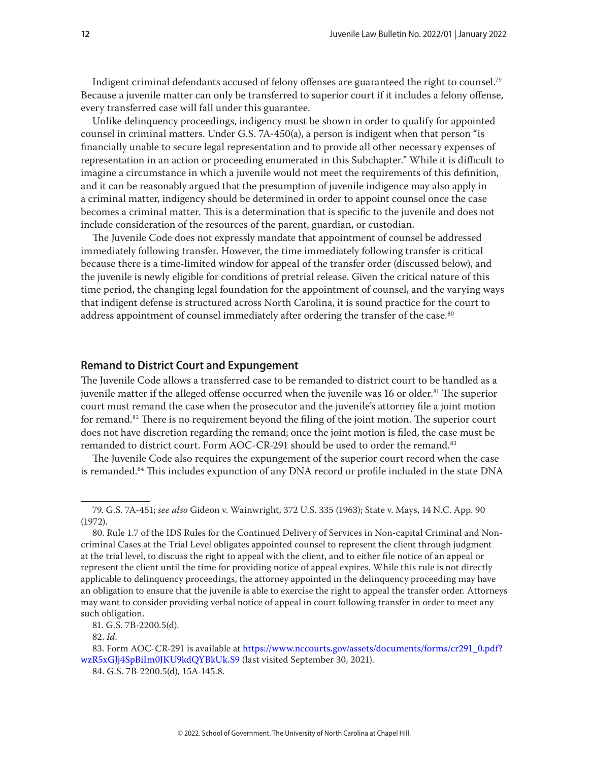<span id="page-11-0"></span>Indigent criminal defendants accused of felony offenses are guaranteed the right to counsel.79 Because a juvenile matter can only be transferred to superior court if it includes a felony offense, every transferred case will fall under this guarantee.

Unlike delinquency proceedings, indigency must be shown in order to qualify for appointed counsel in criminal matters. Under G.S. 7A-450(a), a person is indigent when that person "is financially unable to secure legal representation and to provide all other necessary expenses of representation in an action or proceeding enumerated in this Subchapter." While it is difficult to imagine a circumstance in which a juvenile would not meet the requirements of this definition, and it can be reasonably argued that the presumption of juvenile indigence may also apply in a criminal matter, indigency should be determined in order to appoint counsel once the case becomes a criminal matter. This is a determination that is specific to the juvenile and does not include consideration of the resources of the parent, guardian, or custodian.

The Juvenile Code does not expressly mandate that appointment of counsel be addressed immediately following transfer. However, the time immediately following transfer is critical because there is a time-limited window for appeal of the transfer order (discussed below), and the juvenile is newly eligible for conditions of pretrial release. Given the critical nature of this time period, the changing legal foundation for the appointment of counsel, and the varying ways that indigent defense is structured across North Carolina, it is sound practice for the court to address appointment of counsel immediately after ordering the transfer of the case.<sup>80</sup>

## **Remand to District Court and Expungement**

The Juvenile Code allows a transferred case to be remanded to district court to be handled as a juvenile matter if the alleged offense occurred when the juvenile was 16 or older.<sup>81</sup> The superior court must remand the case when the prosecutor and the juvenile's attorney file a joint motion for remand.<sup>82</sup> There is no requirement beyond the filing of the joint motion. The superior court does not have discretion regarding the remand; once the joint motion is filed, the case must be remanded to district court. Form AOC-CR-291 should be used to order the remand.<sup>83</sup>

The Juvenile Code also requires the expungement of the superior court record when the case is remanded.<sup>84</sup> This includes expunction of any DNA record or profile included in the state DNA

<sup>79.</sup> G.S. 7A-451; *see also* Gideon v. Wainwright, 372 U.S. 335 (1963); State v. Mays, 14 N.C. App. 90 (1972).

<sup>80.</sup> Rule 1.7 of the IDS Rules for the Continued Delivery of Services in Non-capital Criminal and Noncriminal Cases at the Trial Level obligates appointed counsel to represent the client through judgment at the trial level, to discuss the right to appeal with the client, and to either file notice of an appeal or represent the client until the time for providing notice of appeal expires. While this rule is not directly applicable to delinquency proceedings, the attorney appointed in the delinquency proceeding may have an obligation to ensure that the juvenile is able to exercise the right to appeal the transfer order. Attorneys may want to consider providing verbal notice of appeal in court following transfer in order to meet any such obligation.

<sup>81.</sup> G.S. 7B-2200.5(d).

<sup>82.</sup> *Id*.

<sup>83.</sup> Form AOC-CR-291 is available at [https://www.nccourts.gov/assets/documents/forms/cr291\\_0.pdf?](https://www.nccourts.gov/assets/documents/forms/cr291_0.pdf?wzR5xGJj4SpBiIm0JKU9kdQYBkUk.S9) [wzR5xGJj4SpBiIm0JKU9kdQYBkUk.S9](https://www.nccourts.gov/assets/documents/forms/cr291_0.pdf?wzR5xGJj4SpBiIm0JKU9kdQYBkUk.S9) (last visited September 30, 2021).

<sup>84.</sup> G.S. 7B-2200.5(d), 15A-145.8.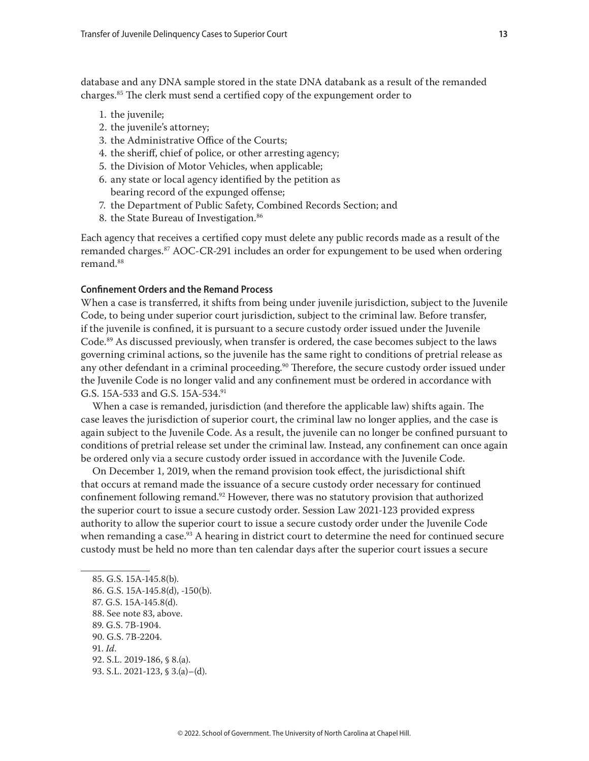<span id="page-12-0"></span>database and any DNA sample stored in the state DNA databank as a result of the remanded charges.85 The clerk must send a certified copy of the expungement order to

- 1. the juvenile;
- 2. the juvenile's attorney;
- 3. the Administrative Office of the Courts;
- 4. the sheriff, chief of police, or other arresting agency;
- 5. the Division of Motor Vehicles, when applicable;
- 6. any state or local agency identified by the petition as bearing record of the expunged offense;
- 7. the Department of Public Safety, Combined Records Section; and
- 8. the State Bureau of Investigation.<sup>86</sup>

Each agency that receives a certified copy must delete any public records made as a result of the remanded charges.87 AOC-CR-291 includes an order for expungement to be used when ordering remand.88

#### **Confinement Orders and the Remand Process**

When a case is transferred, it shifts from being under juvenile jurisdiction, subject to the Juvenile Code, to being under superior court jurisdiction, subject to the criminal law. Before transfer, if the juvenile is confined, it is pursuant to a secure custody order issued under the Juvenile Code.89 As discussed previously, when transfer is ordered, the case becomes subject to the laws governing criminal actions, so the juvenile has the same right to conditions of pretrial release as any other defendant in a criminal proceeding.<sup>90</sup> Therefore, the secure custody order issued under the Juvenile Code is no longer valid and any confinement must be ordered in accordance with G.S. 15A-533 and G.S. 15A-534.91

When a case is remanded, jurisdiction (and therefore the applicable law) shifts again. The case leaves the jurisdiction of superior court, the criminal law no longer applies, and the case is again subject to the Juvenile Code. As a result, the juvenile can no longer be confined pursuant to conditions of pretrial release set under the criminal law. Instead, any confinement can once again be ordered only via a secure custody order issued in accordance with the Juvenile Code.

On December 1, 2019, when the remand provision took effect, the jurisdictional shift that occurs at remand made the issuance of a secure custody order necessary for continued confinement following remand.<sup>92</sup> However, there was no statutory provision that authorized the superior court to issue a secure custody order. Session Law 2021-123 provided express authority to allow the superior court to issue a secure custody order under the Juvenile Code when remanding a case.<sup>93</sup> A hearing in district court to determine the need for continued secure custody must be held no more than ten calendar days after the superior court issues a secure

<sup>85.</sup> G.S. 15A-145.8(b).

<sup>86.</sup> G.S. 15A-145.8(d), -150(b).

<sup>87.</sup> G.S. 15A-145.8(d).

<sup>88.</sup> See note 83, above.

<sup>89.</sup> G.S. 7B-1904.

<sup>90.</sup> G.S. 7B-2204.

<sup>91.</sup> *Id*.

<sup>92.</sup> S.L. 2019-186, § 8.(a).

<sup>93.</sup> S.L. 2021-123, § 3.(a)–(d).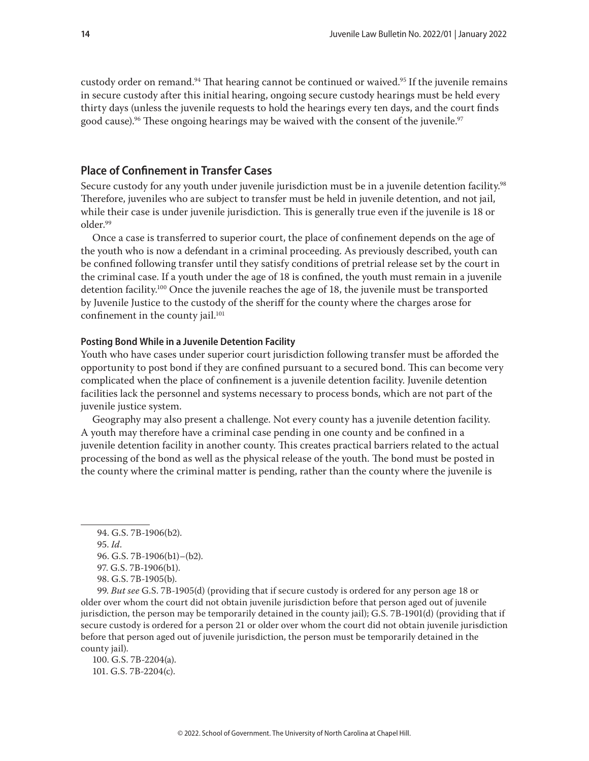<span id="page-13-0"></span>custody order on remand.<sup>94</sup> That hearing cannot be continued or waived.<sup>95</sup> If the juvenile remains in secure custody after this initial hearing, ongoing secure custody hearings must be held every thirty days (unless the juvenile requests to hold the hearings every ten days, and the court finds good cause).<sup>96</sup> These ongoing hearings may be waived with the consent of the juvenile.<sup>97</sup>

# **Place of Confinement in Transfer Cases**

Secure custody for any youth under juvenile jurisdiction must be in a juvenile detention facility.<sup>98</sup> Therefore, juveniles who are subject to transfer must be held in juvenile detention, and not jail, while their case is under juvenile jurisdiction. This is generally true even if the juvenile is 18 or older.99

Once a case is transferred to superior court, the place of confinement depends on the age of the youth who is now a defendant in a criminal proceeding. As previously described, youth can be confined following transfer until they satisfy conditions of pretrial release set by the court in the criminal case. If a youth under the age of 18 is confined, the youth must remain in a juvenile detention facility.100 Once the juvenile reaches the age of 18, the juvenile must be transported by Juvenile Justice to the custody of the sheriff for the county where the charges arose for confinement in the county jail.<sup>101</sup>

#### **Posting Bond While in a Juvenile Detention Facility**

Youth who have cases under superior court jurisdiction following transfer must be afforded the opportunity to post bond if they are confined pursuant to a secured bond. This can become very complicated when the place of confinement is a juvenile detention facility. Juvenile detention facilities lack the personnel and systems necessary to process bonds, which are not part of the juvenile justice system.

Geography may also present a challenge. Not every county has a juvenile detention facility. A youth may therefore have a criminal case pending in one county and be confined in a juvenile detention facility in another county. This creates practical barriers related to the actual processing of the bond as well as the physical release of the youth. The bond must be posted in the county where the criminal matter is pending, rather than the county where the juvenile is

95. *Id*.

99. *But see* G.S. 7B-1905(d) (providing that if secure custody is ordered for any person age 18 or older over whom the court did not obtain juvenile jurisdiction before that person aged out of juvenile jurisdiction, the person may be temporarily detained in the county jail); G.S. 7B-1901(d) (providing that if secure custody is ordered for a person 21 or older over whom the court did not obtain juvenile jurisdiction before that person aged out of juvenile jurisdiction, the person must be temporarily detained in the county jail).

100. G.S. 7B-2204(a). 101. G.S. 7B-2204(c).

<sup>94.</sup> G.S. 7B-1906(b2).

<sup>96.</sup> G.S. 7B-1906(b1)–(b2).

<sup>97.</sup> G.S. 7B-1906(b1).

<sup>98.</sup> G.S. 7B-1905(b).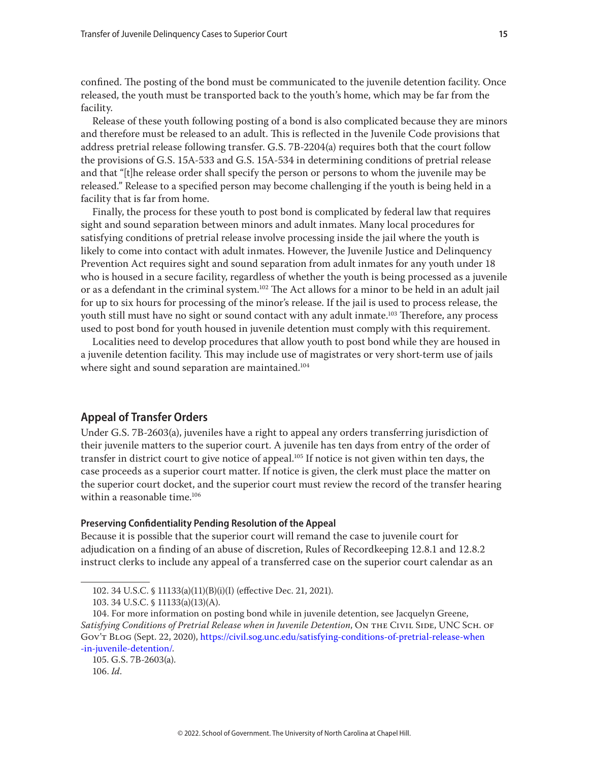<span id="page-14-0"></span>confined. The posting of the bond must be communicated to the juvenile detention facility. Once released, the youth must be transported back to the youth's home, which may be far from the facility.

Release of these youth following posting of a bond is also complicated because they are minors and therefore must be released to an adult. This is reflected in the Juvenile Code provisions that address pretrial release following transfer. G.S. 7B-2204(a) requires both that the court follow the provisions of G.S. 15A-533 and G.S. 15A-534 in determining conditions of pretrial release and that "[t]he release order shall specify the person or persons to whom the juvenile may be released." Release to a specified person may become challenging if the youth is being held in a facility that is far from home.

Finally, the process for these youth to post bond is complicated by federal law that requires sight and sound separation between minors and adult inmates. Many local procedures for satisfying conditions of pretrial release involve processing inside the jail where the youth is likely to come into contact with adult inmates. However, the Juvenile Justice and Delinquency Prevention Act requires sight and sound separation from adult inmates for any youth under 18 who is housed in a secure facility, regardless of whether the youth is being processed as a juvenile or as a defendant in the criminal system.102 The Act allows for a minor to be held in an adult jail for up to six hours for processing of the minor's release. If the jail is used to process release, the youth still must have no sight or sound contact with any adult inmate.<sup>103</sup> Therefore, any process used to post bond for youth housed in juvenile detention must comply with this requirement.

Localities need to develop procedures that allow youth to post bond while they are housed in a juvenile detention facility. This may include use of magistrates or very short-term use of jails where sight and sound separation are maintained.<sup>104</sup>

# **Appeal of Transfer Orders**

Under G.S. 7B-2603(a), juveniles have a right to appeal any orders transferring jurisdiction of their juvenile matters to the superior court. A juvenile has ten days from entry of the order of transfer in district court to give notice of appeal.<sup>105</sup> If notice is not given within ten days, the case proceeds as a superior court matter. If notice is given, the clerk must place the matter on the superior court docket, and the superior court must review the record of the transfer hearing within a reasonable time.<sup>106</sup>

#### **Preserving Confidentiality Pending Resolution of the Appeal**

Because it is possible that the superior court will remand the case to juvenile court for adjudication on a finding of an abuse of discretion, Rules of Recordkeeping 12.8.1 and 12.8.2 instruct clerks to include any appeal of a transferred case on the superior court calendar as an

105. G.S. 7B-2603(a).

<sup>102. 34</sup> U.S.C. § 11133(a)(11)(B)(i)(I) (effective Dec. 21, 2021).

<sup>103. 34</sup> U.S.C. § 11133(a)(13)(A).

<sup>104.</sup> For more information on posting bond while in juvenile detention, see Jacquelyn Greene, *Satisfying Conditions of Pretrial Release when in Juvenile Detention*, ON THE CIVIL SIDE, UNC SCH. OF Gov't Blog (Sept. 22, 2020), [https://civil.sog.unc.edu/satisfying-conditions-of-pretrial-release-when](https://civil.sog.unc.edu/satisfying-conditions-of-pretrial-release-when-in-juvenile-detention/) [-in-juvenile-detention/.](https://civil.sog.unc.edu/satisfying-conditions-of-pretrial-release-when-in-juvenile-detention/)

<sup>106.</sup> *Id*.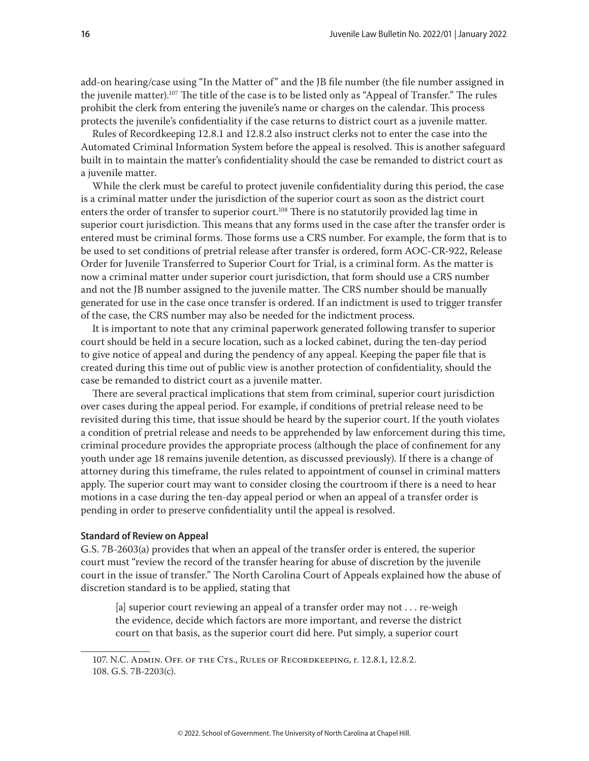<span id="page-15-0"></span>add-on hearing/case using "In the Matter of" and the JB file number (the file number assigned in the juvenile matter).107 The title of the case is to be listed only as "Appeal of Transfer." The rules prohibit the clerk from entering the juvenile's name or charges on the calendar. This process protects the juvenile's confidentiality if the case returns to district court as a juvenile matter.

Rules of Recordkeeping 12.8.1 and 12.8.2 also instruct clerks not to enter the case into the Automated Criminal Information System before the appeal is resolved. This is another safeguard built in to maintain the matter's confidentiality should the case be remanded to district court as a juvenile matter.

While the clerk must be careful to protect juvenile confidentiality during this period, the case is a criminal matter under the jurisdiction of the superior court as soon as the district court enters the order of transfer to superior court.<sup>108</sup> There is no statutorily provided lag time in superior court jurisdiction. This means that any forms used in the case after the transfer order is entered must be criminal forms. Those forms use a CRS number. For example, the form that is to be used to set conditions of pretrial release after transfer is ordered, form AOC-CR-922, Release Order for Juvenile Transferred to Superior Court for Trial, is a criminal form. As the matter is now a criminal matter under superior court jurisdiction, that form should use a CRS number and not the JB number assigned to the juvenile matter. The CRS number should be manually generated for use in the case once transfer is ordered. If an indictment is used to trigger transfer of the case, the CRS number may also be needed for the indictment process.

It is important to note that any criminal paperwork generated following transfer to superior court should be held in a secure location, such as a locked cabinet, during the ten-day period to give notice of appeal and during the pendency of any appeal. Keeping the paper file that is created during this time out of public view is another protection of confidentiality, should the case be remanded to district court as a juvenile matter.

There are several practical implications that stem from criminal, superior court jurisdiction over cases during the appeal period. For example, if conditions of pretrial release need to be revisited during this time, that issue should be heard by the superior court. If the youth violates a condition of pretrial release and needs to be apprehended by law enforcement during this time, criminal procedure provides the appropriate process (although the place of confinement for any youth under age 18 remains juvenile detention, as discussed previously). If there is a change of attorney during this timeframe, the rules related to appointment of counsel in criminal matters apply. The superior court may want to consider closing the courtroom if there is a need to hear motions in a case during the ten-day appeal period or when an appeal of a transfer order is pending in order to preserve confidentiality until the appeal is resolved.

#### **Standard of Review on Appeal**

G.S. 7B-2603(a) provides that when an appeal of the transfer order is entered, the superior court must "review the record of the transfer hearing for abuse of discretion by the juvenile court in the issue of transfer." The North Carolina Court of Appeals explained how the abuse of discretion standard is to be applied, stating that

[a] superior court reviewing an appeal of a transfer order may not . . . re-weigh the evidence, decide which factors are more important, and reverse the district court on that basis, as the superior court did here. Put simply, a superior court

<sup>107.</sup> N.C. Admin. Off. of the Cts., Rules of Recordkeeping, r. 12.8.1, 12.8.2. 108. G.S. 7B-2203(c).